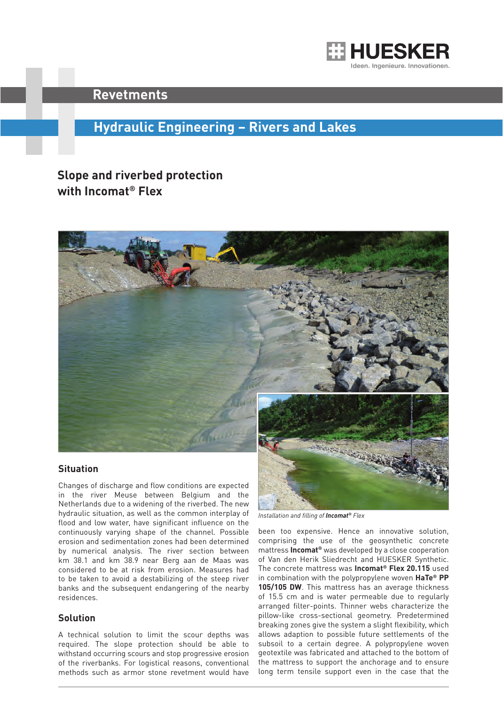

### **Revetments**

## **Hydraulic Engineering – Rivers and Lakes**

## **Slope and riverbed protection with Incomat® Flex**



#### **Situation**

Changes of discharge and flow conditions are expected in the river Meuse between Belgium and the Netherlands due to a widening of the riverbed. The new hydraulic situation, as well as the common interplay of flood and low water, have significant influence on the continuously varying shape of the channel. Possible erosion and sedimentation zones had been determined by numerical analysis. The river section between km 38.1 and km 38.9 near Berg aan de Maas was considered to be at risk from erosion. Measures had to be taken to avoid a destabilizing of the steep river banks and the subsequent endangering of the nearby residences.

#### **Solution**

A technical solution to limit the scour depths was required. The slope protection should be able to withstand occurring scours and stop progressive erosion of the riverbanks. For logistical reasons, conventional methods such as armor stone revetment would have



**105/105 DW**. This mattress has an average thickness of 15.5 cm and is water permeable due to regularly arranged filter-points. Thinner webs characterize the pillow-like cross-sectional geometry. Predetermined breaking zones give the system a slight flexibility, which allows adaption to possible future settlements of the subsoil to a certain degree. A polypropylene woven geotextile was fabricated and attached to the bottom of the mattress to support the anchorage and to ensure long term tensile support even in the case that the